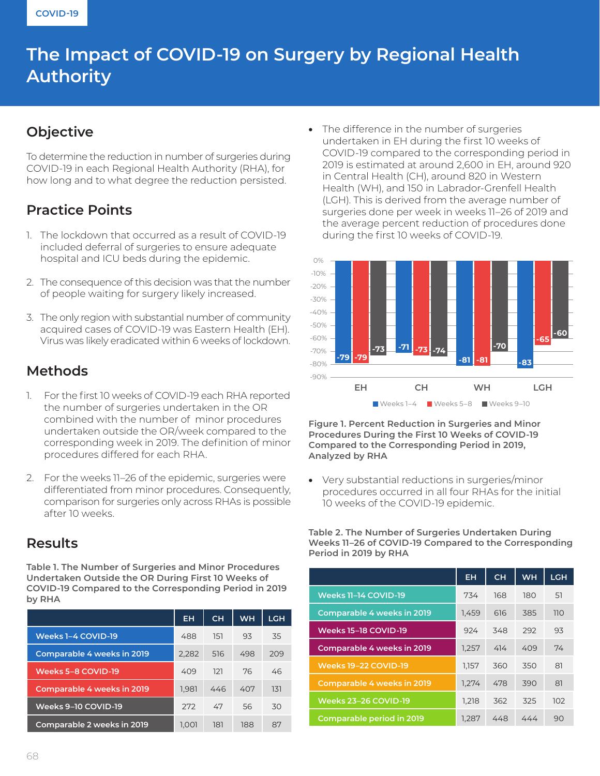# **The Impact of COVID-19 on Surgery by Regional Health Authority**

### **Objective**

To determine the reduction in number of surgeries during COVID-19 in each Regional Health Authority (RHA), for how long and to what degree the reduction persisted.

## **Practice Points**

- 1. The lockdown that occurred as a result of COVID-19 included deferral of surgeries to ensure adequate hospital and ICU beds during the epidemic.
- 2. The consequence of this decision was that the number of people waiting for surgery likely increased.
- 3. The only region with substantial number of community acquired cases of COVID-19 was Eastern Health (EH). Virus was likely eradicated within 6 weeks of lockdown.

#### **Methods**

- 1. For the first 10 weeks of COVID-19 each RHA reported the number of surgeries undertaken in the OR combined with the number of minor procedures undertaken outside the OR/week compared to the corresponding week in 2019. The definition of minor procedures differed for each RHA.
- 2. For the weeks 11–26 of the epidemic, surgeries were differentiated from minor procedures. Consequently, comparison for surgeries only across RHAs is possible after 10 weeks.

#### **Results**

**Table 1. The Number of Surgeries and Minor Procedures Undertaken Outside the OR During First 10 Weeks of COVID-19 Compared to the Corresponding Period in 2019 by RHA**

|                                   | <b>EH</b> | <b>CH</b> | <b>WH</b> | <b>LGH</b> |
|-----------------------------------|-----------|-----------|-----------|------------|
| Weeks 1-4 COVID-19                | 488       | 151       | 93        | 35         |
| <b>Comparable 4 weeks in 2019</b> | 2,282     | 516       | 498       | 209        |
| Weeks 5-8 COVID-19                | 409       | 121       | 76        | 46         |
| <b>Comparable 4 weeks in 2019</b> | 1,981     | 446       | 407       | 131        |
| Weeks 9-10 COVID-19               | 272       | 47        | 56        | 30         |
| Comparable 2 weeks in 2019        | 1.001     | 181       | 188       | 87         |

• The difference in the number of surgeries undertaken in EH during the first 10 weeks of COVID-19 compared to the corresponding period in 2019 is estimated at around 2,600 in EH, around 920 in Central Health (CH), around 820 in Western Health (WH), and 150 in Labrador-Grenfell Health (LGH). This is derived from the average number of surgeries done per week in weeks 11–26 of 2019 and the average percent reduction of procedures done during the first 10 weeks of COVID-19.



**Figure 1. Percent Reduction in Surgeries and Minor Procedures During the First 10 Weeks of COVID-19 Compared to the Corresponding Period in 2019, Analyzed by RHA**

• Very substantial reductions in surgeries/minor procedures occurred in all four RHAs for the initial 10 weeks of the COVID-19 epidemic.

**Table 2. The Number of Surgeries Undertaken During Weeks 11–26 of COVID-19 Compared to the Corresponding Period in 2019 by RHA**

|                                   | <b>EH</b> | <b>CH</b> | <b>WH</b> | <b>LGH</b> |
|-----------------------------------|-----------|-----------|-----------|------------|
| Weeks 11-14 COVID-19              | 734       | 168       | 180       | 51         |
| <b>Comparable 4 weeks in 2019</b> | 1,459     | 616       | 385       | 110        |
| Weeks 15-18 COVID-19              | 924       | 348       | 292       | 93         |
| <b>Comparable 4 weeks in 2019</b> | 1,257     | 414       | 409       | 74         |
| <b>Weeks 19-22 COVID-19</b>       | 1,157     | 360       | 350       | 81         |
| <b>Comparable 4 weeks in 2019</b> | 1,274     | 478       | 390       | 81         |
| <b>Weeks 23-26 COVID-19</b>       | 1,218     | 362       | 325       | 102        |
| <b>Comparable period in 2019</b>  | 1,287     | 448       | 444       | 90         |